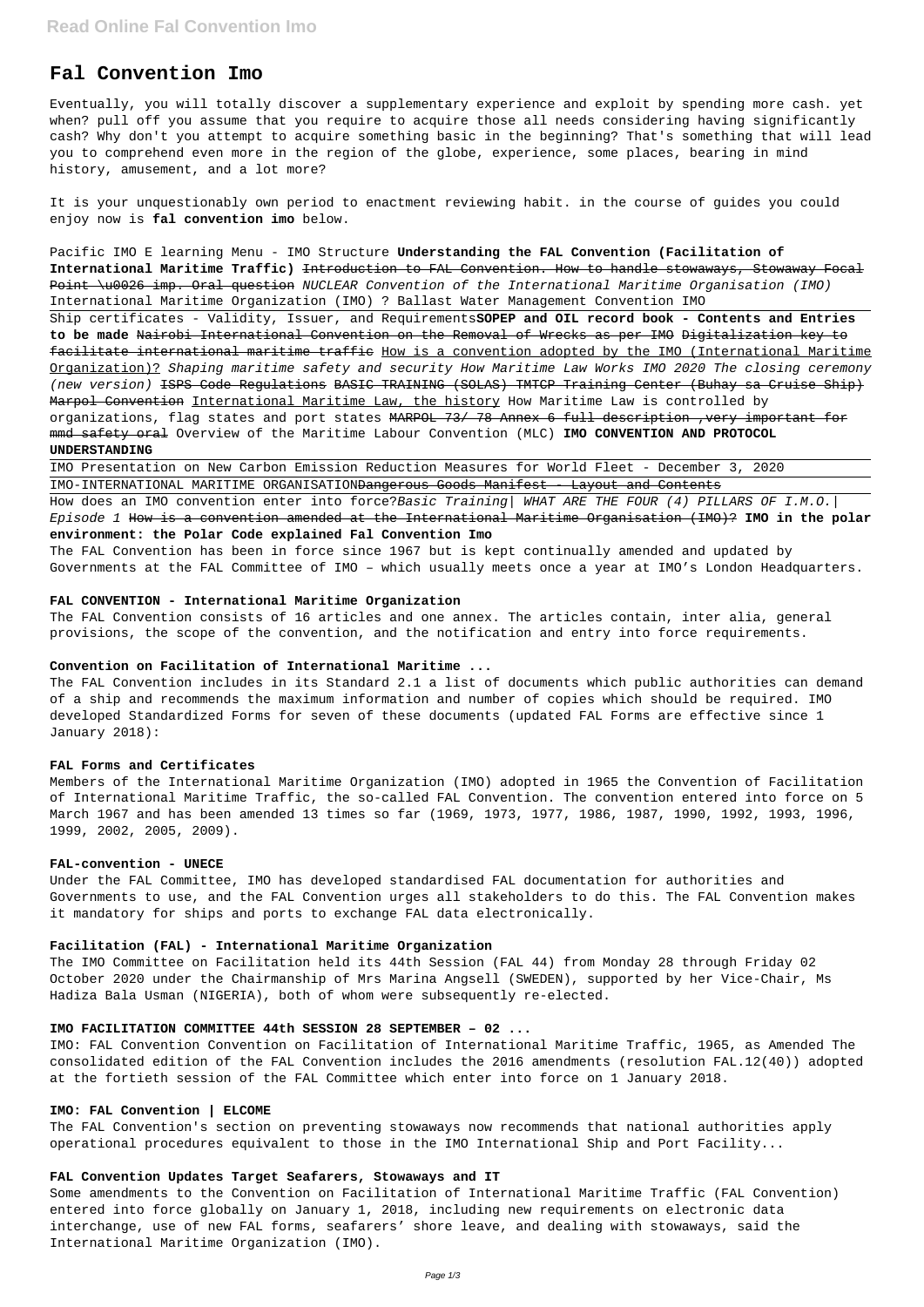# **Fal Convention Imo**

Eventually, you will totally discover a supplementary experience and exploit by spending more cash. yet when? pull off you assume that you require to acquire those all needs considering having significantly cash? Why don't you attempt to acquire something basic in the beginning? That's something that will lead you to comprehend even more in the region of the globe, experience, some places, bearing in mind history, amusement, and a lot more?

It is your unquestionably own period to enactment reviewing habit. in the course of guides you could enjoy now is **fal convention imo** below.

How does an IMO convention enter into force?Basic Training | WHAT ARE THE FOUR (4) PILLARS OF I.M.O. Episode 1 How is a convention amended at the International Maritime Organisation (IMO)? **IMO in the polar environment: the Polar Code explained Fal Convention Imo**

Pacific IMO E learning Menu - IMO Structure **Understanding the FAL Convention (Facilitation of International Maritime Traffic)** Introduction to FAL Convention. How to handle stowaways, Stowaway Focal Point \u0026 imp. Oral question NUCLEAR Convention of the International Maritime Organisation (IMO) International Maritime Organization (IMO) ? Ballast Water Management Convention IMO Ship certificates - Validity, Issuer, and Requirements**SOPEP and OIL record book - Contents and Entries to be made** Nairobi International Convention on the Removal of Wrecks as per IMO Digitalization key to facilitate international maritime traffic How is a convention adopted by the IMO (International Maritime Organization)? Shaping maritime safety and security How Maritime Law Works IMO 2020 The closing ceremony (new version) <del>ISPS Code Requlations BASIC TRAINING (SOLAS) TMTCP Training Center (Buhay sa Cruise Ship)</del> Marpol Convention International Maritime Law, the history How Maritime Law is controlled by organizations, flag states and port states MARPOL 73/ 78 Annex 6 full description , very important for mmd safety oral Overview of the Maritime Labour Convention (MLC) **IMO CONVENTION AND PROTOCOL UNDERSTANDING**

IMO Presentation on New Carbon Emission Reduction Measures for World Fleet - December 3, 2020 IMO-INTERNATIONAL MARITIME ORGANISATIONDangerous Goods Manifest - Layout and Contents

The FAL Convention has been in force since 1967 but is kept continually amended and updated by Governments at the FAL Committee of IMO – which usually meets once a year at IMO's London Headquarters.

#### **FAL CONVENTION - International Maritime Organization**

The FAL Convention consists of 16 articles and one annex. The articles contain, inter alia, general provisions, the scope of the convention, and the notification and entry into force requirements.

#### **Convention on Facilitation of International Maritime ...**

The FAL Convention includes in its Standard 2.1 a list of documents which public authorities can demand of a ship and recommends the maximum information and number of copies which should be required. IMO developed Standardized Forms for seven of these documents (updated FAL Forms are effective since 1 January 2018):

### **FAL Forms and Certificates**

Members of the International Maritime Organization (IMO) adopted in 1965 the Convention of Facilitation of International Maritime Traffic, the so-called FAL Convention. The convention entered into force on 5 March 1967 and has been amended 13 times so far (1969, 1973, 1977, 1986, 1987, 1990, 1992, 1993, 1996, 1999, 2002, 2005, 2009).

#### **FAL-convention - UNECE**

Under the FAL Committee, IMO has developed standardised FAL documentation for authorities and Governments to use, and the FAL Convention urges all stakeholders to do this. The FAL Convention makes it mandatory for ships and ports to exchange FAL data electronically.

#### **Facilitation (FAL) - International Maritime Organization**

The IMO Committee on Facilitation held its 44th Session (FAL 44) from Monday 28 through Friday 02 October 2020 under the Chairmanship of Mrs Marina Angsell (SWEDEN), supported by her Vice-Chair, Ms

Hadiza Bala Usman (NIGERIA), both of whom were subsequently re-elected.

#### **IMO FACILITATION COMMITTEE 44th SESSION 28 SEPTEMBER – 02 ...**

IMO: FAL Convention Convention on Facilitation of International Maritime Traffic, 1965, as Amended The consolidated edition of the FAL Convention includes the 2016 amendments (resolution FAL.12(40)) adopted at the fortieth session of the FAL Committee which enter into force on 1 January 2018.

### **IMO: FAL Convention | ELCOME**

The FAL Convention's section on preventing stowaways now recommends that national authorities apply operational procedures equivalent to those in the IMO International Ship and Port Facility...

#### **FAL Convention Updates Target Seafarers, Stowaways and IT**

Some amendments to the Convention on Facilitation of International Maritime Traffic (FAL Convention) entered into force globally on January 1, 2018, including new requirements on electronic data interchange, use of new FAL forms, seafarers' shore leave, and dealing with stowaways, said the International Maritime Organization (IMO).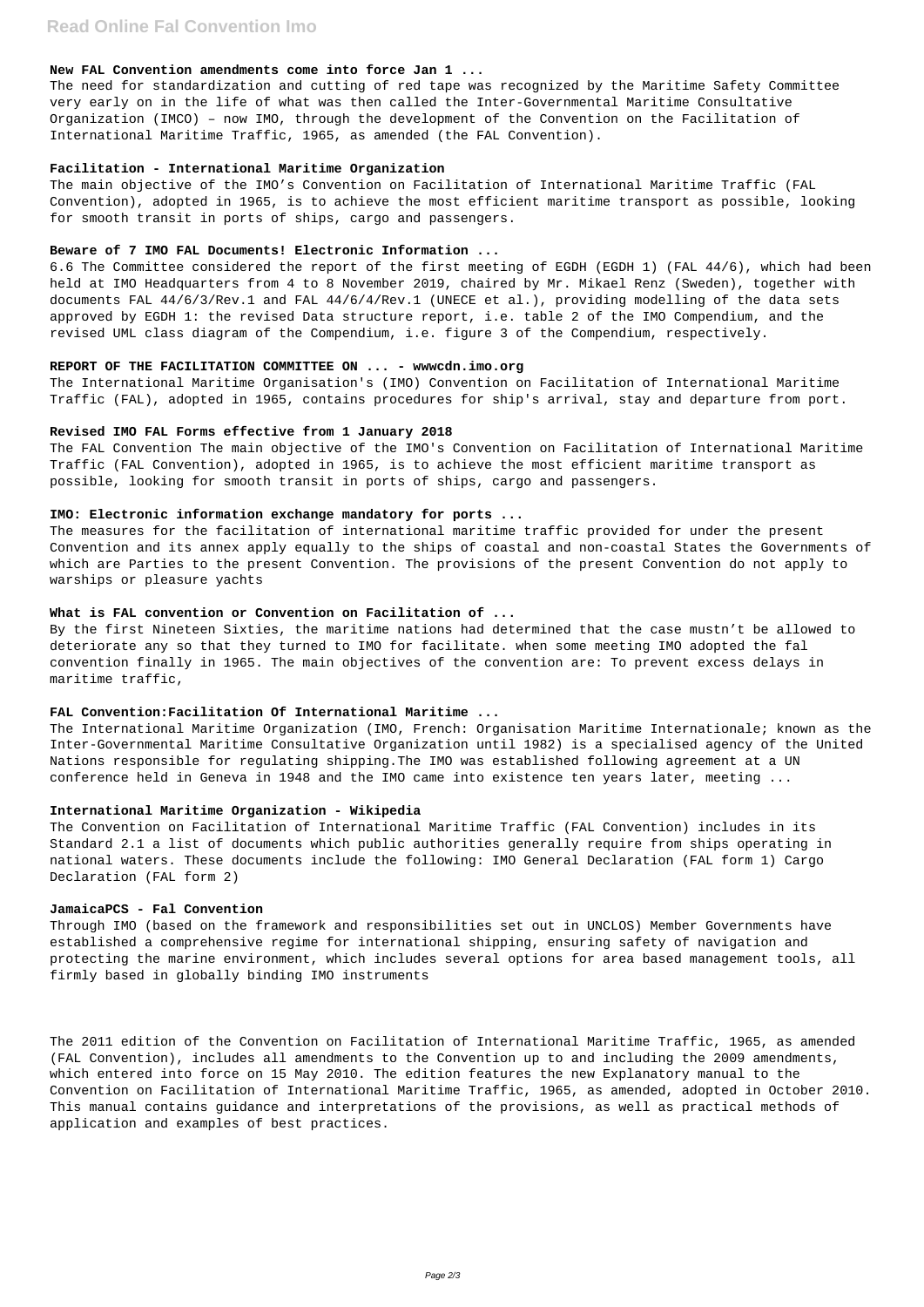### **New FAL Convention amendments come into force Jan 1 ...**

The need for standardization and cutting of red tape was recognized by the Maritime Safety Committee very early on in the life of what was then called the Inter-Governmental Maritime Consultative Organization (IMCO) – now IMO, through the development of the Convention on the Facilitation of International Maritime Traffic, 1965, as amended (the FAL Convention).

### **Facilitation - International Maritime Organization**

The main objective of the IMO's Convention on Facilitation of International Maritime Traffic (FAL Convention), adopted in 1965, is to achieve the most efficient maritime transport as possible, looking for smooth transit in ports of ships, cargo and passengers.

## **Beware of 7 IMO FAL Documents! Electronic Information ...**

6.6 The Committee considered the report of the first meeting of EGDH (EGDH 1) (FAL 44/6), which had been held at IMO Headquarters from 4 to 8 November 2019, chaired by Mr. Mikael Renz (Sweden), together with documents FAL 44/6/3/Rev.1 and FAL 44/6/4/Rev.1 (UNECE et al.), providing modelling of the data sets approved by EGDH 1: the revised Data structure report, i.e. table 2 of the IMO Compendium, and the revised UML class diagram of the Compendium, i.e. figure 3 of the Compendium, respectively.

## **REPORT OF THE FACILITATION COMMITTEE ON ... - wwwcdn.imo.org**

The International Maritime Organization (IMO, French: Organisation Maritime Internationale; known as the Inter-Governmental Maritime Consultative Organization until 1982) is a specialised agency of the United Nations responsible for regulating shipping.The IMO was established following agreement at a UN conference held in Geneva in 1948 and the IMO came into existence ten years later, meeting ...

The International Maritime Organisation's (IMO) Convention on Facilitation of International Maritime Traffic (FAL), adopted in 1965, contains procedures for ship's arrival, stay and departure from port.

### **Revised IMO FAL Forms effective from 1 January 2018**

The FAL Convention The main objective of the IMO's Convention on Facilitation of International Maritime Traffic (FAL Convention), adopted in 1965, is to achieve the most efficient maritime transport as possible, looking for smooth transit in ports of ships, cargo and passengers.

### **IMO: Electronic information exchange mandatory for ports ...**

The measures for the facilitation of international maritime traffic provided for under the present Convention and its annex apply equally to the ships of coastal and non-coastal States the Governments of which are Parties to the present Convention. The provisions of the present Convention do not apply to warships or pleasure yachts

## **What is FAL convention or Convention on Facilitation of ...**

By the first Nineteen Sixties, the maritime nations had determined that the case mustn't be allowed to deteriorate any so that they turned to IMO for facilitate. when some meeting IMO adopted the fal convention finally in 1965. The main objectives of the convention are: To prevent excess delays in maritime traffic,

# **FAL Convention:Facilitation Of International Maritime ...**

# **International Maritime Organization - Wikipedia**

The Convention on Facilitation of International Maritime Traffic (FAL Convention) includes in its Standard 2.1 a list of documents which public authorities generally require from ships operating in national waters. These documents include the following: IMO General Declaration (FAL form 1) Cargo Declaration (FAL form 2)

### **JamaicaPCS - Fal Convention**

Through IMO (based on the framework and responsibilities set out in UNCLOS) Member Governments have established a comprehensive regime for international shipping, ensuring safety of navigation and protecting the marine environment, which includes several options for area based management tools, all firmly based in globally binding IMO instruments

The 2011 edition of the Convention on Facilitation of International Maritime Traffic, 1965, as amended (FAL Convention), includes all amendments to the Convention up to and including the 2009 amendments, which entered into force on 15 May 2010. The edition features the new Explanatory manual to the Convention on Facilitation of International Maritime Traffic, 1965, as amended, adopted in October 2010. This manual contains guidance and interpretations of the provisions, as well as practical methods of application and examples of best practices.